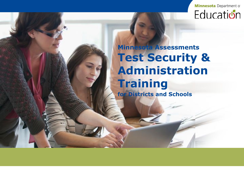

### **Minnesota Assessments Test Security & Administration Training for Districts and Schools**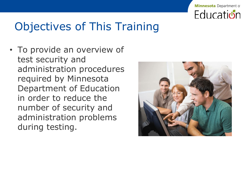

## Objectives of This Training

• To provide an overview of test security and administration procedures required by Minnesota Department of Education in order to reduce the number of security and administration problems during testing.

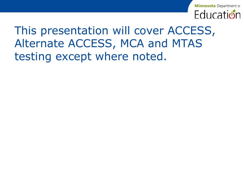

## This presentation will cover ACCESS, Alternate ACCESS, MCA and MTAS testing except where noted.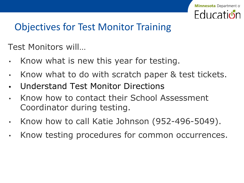

## Objectives for Test Monitor Training

Test Monitors will…

- Know what is new this year for testing.
- Know what to do with scratch paper & test tickets.
- **•** Understand Test Monitor Directions
- Know how to contact their School Assessment Coordinator during testing.
- Know how to call Katie Johnson (952-496-5049).
- Know testing procedures for common occurrences.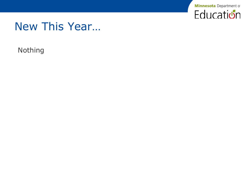

## New This Year…

Nothing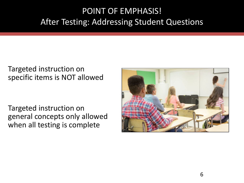#### POINT OF EMPHASIS! After Testing: Addressing Student Questions

#### Targeted instruction on specific items is NOT allowed

Targeted instruction on general concepts only allowed when all testing is complete

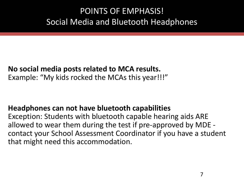#### POINTS OF EMPHASIS! Social Media and Bluetooth Headphones

#### **No social media posts related to MCA results.**

Example: "My kids rocked the MCAs this year!!!"

#### **Headphones can not have bluetooth capabilities**

Exception: Students with bluetooth capable hearing aids ARE allowed to wear them during the test if pre-approved by MDE contact your School Assessment Coordinator if you have a student that might need this accommodation.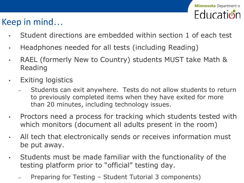#### Keep in mind…

- Student directions are embedded within section 1 of each test
- Headphones needed for all tests (including Reading)
- RAEL (formerly New to Country) students MUST take Math & Reading
- Exiting logistics
	- Students can exit anywhere. Tests do not allow students to return to previously completed items when they have exited for more than 20 minutes, including technology issues.
- Proctors need a process for tracking which students tested with which monitors (document all adults present in the room)
- All tech that electronically sends or receives information must be put away.
- Students must be made familiar with the functionality of the testing platform prior to "official" testing day.
	- Preparing for Testing Student Tutorial 3 components)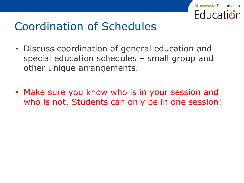

## Coordination of Schedules

- Discuss coordination of general education and special education schedules – small group and other unique arrangements.
- Make sure you know who is in your session and who is not. Students can only be in one session!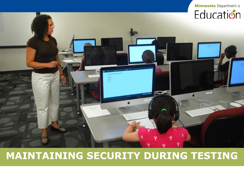

### **MAINTAINING SECURITY DURING TESTING**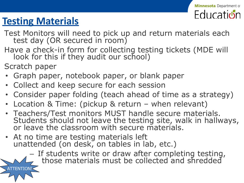

## **Testing Materials**

- Test Monitors will need to pick up and return materials each test day (OR secured in room)
- Have a check-in form for collecting testing tickets (MDE will look for this if they audit our school)
- Scratch paper

ATTENTION!

- Graph paper, notebook paper, or blank paper
- Collect and keep secure for each session
- Consider paper folding (teach ahead of time as a strategy)
- Location & Time: (pickup & return when relevant)
- Teachers/Test monitors MUST handle secure materials. Students should not leave the testing site, walk in hallways, or leave the classroom with secure materials.
- At no time are testing materials left unattended (on desk, on tables in lab, etc.)

– If students write or draw after completing testing, those materials must be collected and shredded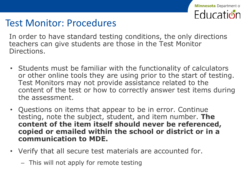

### Test Monitor: Procedures

In order to have standard testing conditions, the only directions teachers can give students are those in the Test Monitor Directions.

- Students must be familiar with the functionality of calculators or other online tools they are using prior to the start of testing. Test Monitors may not provide assistance related to the content of the test or how to correctly answer test items during the assessment.
- Questions on items that appear to be in error. Continue testing, note the subject, student, and item number. **The content of the item itself should never be referenced, copied or emailed within the school or district or in a communication to MDE.**
- Verify that all secure test materials are accounted for.
	- This will not apply for remote testing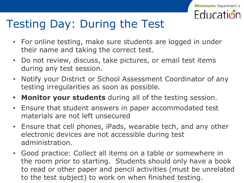

## Testing Day: During the Test

- For online testing, make sure students are logged in under their name and taking the correct test.
- Do not review, discuss, take pictures, or email test items during any test session.
- Notify your District or School Assessment Coordinator of any testing irregularities as soon as possible.
- **• Monitor your students** during all of the testing session.
- Ensure that student answers in paper accommodated test materials are not left unsecured
- Ensure that cell phones, iPads, wearable tech, and any other electronic devices are not accessible during test administration.
- Good practice: Collect all items on a table or somewhere in the room prior to starting. Students should only have a book to read or other paper and pencil activities (must be unrelated to the test subject) to work on when finished testing.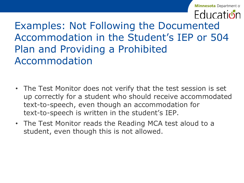**Minnesota** Department of **Education** 

Examples: Not Following the Documented Accommodation in the Student's IEP or 504 Plan and Providing a Prohibited Accommodation

- The Test Monitor does not verify that the test session is set up correctly for a student who should receive accommodated text-to-speech, even though an accommodation for text-to-speech is written in the student's IEP.
- The Test Monitor reads the Reading MCA test aloud to a student, even though this is not allowed.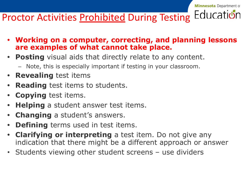#### **Minnesota** Department of

#### Education **Proctor Activities Prohibited During Testing**

- **• Working on a computer, correcting, and planning lessons are examples of what cannot take place.**
- **• Posting** visual aids that directly relate to any content.
	- Note, this is especially important if testing in your classroom.
- **• Revealing** test items
- **• Reading** test items to students.
- **• Copying** test items.
- **• Helping** a student answer test items.
- **• Changing** a student's answers.
- **• Defining** terms used in test items.
- **• Clarifying or interpreting** a test item. Do not give any indication that there might be a different approach or answer
- Students viewing other student screens use dividers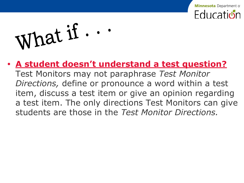

What if ...

#### **• A student doesn't understand a test question?**

Test Monitors may not paraphrase *Test Monitor Directions,* define or pronounce a word within a test item, discuss a test item or give an opinion regarding a test item. The only directions Test Monitors can give students are those in the *Test Monitor Directions.*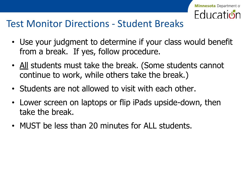

### Test Monitor Directions - Student Breaks

- Use your judgment to determine if your class would benefit from a break. If yes, follow procedure.
- All students must take the break. (Some students cannot continue to work, while others take the break.)
- Students are not allowed to visit with each other.
- Lower screen on laptops or flip iPads upside-down, then take the break.
- MUST be less than 20 minutes for ALL students.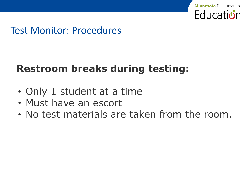

### Test Monitor: Procedures

### **Restroom breaks during testing:**

- Only 1 student at a time
- Must have an escort
- No test materials are taken from the room.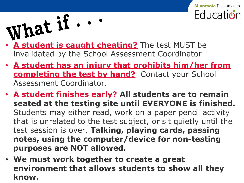

- **• A student is caught cheating?** The test MUST be invalidated by the School Assessment Coordinator
- **• A student has an injury that prohibits him/her from completing the test by hand?** Contact your School Assessment Coordinator.

**Minnesota** Department of

**Fducation** 

- **• A student finishes early? All students are to remain seated at the testing site until EVERYONE is finished.** Students may either read, work on a paper pencil activity that is unrelated to the test subject, or sit quietly until the test session is over. **Talking, playing cards, passing notes, using the computer/device for non-testing purposes are NOT allowed.**
- **• We must work together to create a great environment that allows students to show all they know.**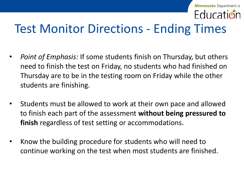#### **Minnesota** Department of **Follication**

# Test Monitor Directions - Ending Times

- *• Point of Emphasis:* If some students finish on Thursday, but others need to finish the test on Friday, no students who had finished on Thursday are to be in the testing room on Friday while the other students are finishing.
- Students must be allowed to work at their own pace and allowed to finish each part of the assessment **without being pressured to finish** regardless of test setting or accommodations.
- Know the building procedure for students who will need to continue working on the test when most students are finished.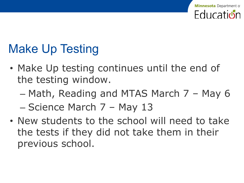# Make Up Testing

- Make Up testing continues until the end of the testing window.
	- Math, Reading and MTAS March 7 May 6 – Science March 7 – May 13
- New students to the school will need to take the tests if they did not take them in their previous school.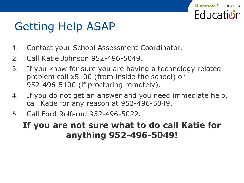# Getting Help ASAP

- 1. Contact your School Assessment Coordinator.
- 2. Call Katie Johnson 952-496-5049.
- 3. If you know for sure you are having a technology related problem call x5100 (from inside the school) or 952-496-5100 (if proctoring remotely).

**Minnesota** Department of

**Follicatidin** 

- 4. If you do not get an answer and you need immediate help, call Katie for any reason at 952-496-5049.
- 5. Call Ford Rolfsrud 952-496-5022.

#### **If you are not sure what to do call Katie for anything 952-496-5049!**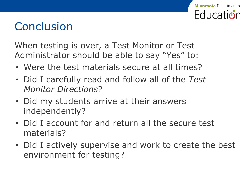#### **Minnesota** Department of **Folucation**

## **Conclusion**

When testing is over, a Test Monitor or Test Administrator should be able to say "Yes" to:

- Were the test materials secure at all times?
- Did I carefully read and follow all of the *Test Monitor Directions*?
- Did my students arrive at their answers independently?
- Did I account for and return all the secure test materials?
- Did I actively supervise and work to create the best environment for testing?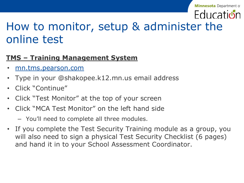#### **Minnesota** Department of

# **Education**

## How to monitor, setup & administer the online test

#### **TMS – Training Management System**

- mn.tms.pearson.com
- Type in your @shakopee.k12.mn.us email address
- Click "Continue"
- Click "Test Monitor" at the top of your screen
- Click "MCA Test Monitor" on the left hand side
	- You'll need to complete all three modules.
- If you complete the Test Security Training module as a group, you will also need to sign a physical Test Security Checklist (6 pages) and hand it in to your School Assessment Coordinator.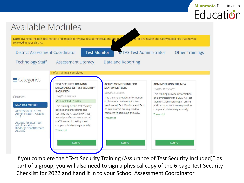

**Minnesota** Department of

If you complete the "Test Security Training (Assurance of Test Security Included)" as part of a group, you will also need to sign a physical copy of the 6 page Test Security Checklist for 2022 and hand it in to your School Assessment Coordinator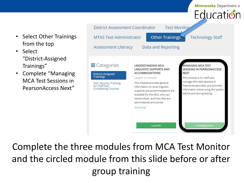

• Select

Complete the three modules from MCA Test Monitor and the circled module from this slide before or after group training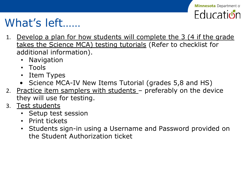

## What's left……

- 1. Develop a plan for how students will complete the 3 (4 if the grade takes the Science MCA) testing tutorials (Refer to checklist for additional information).
	- Navigation
	- Tools
	- Item Types
	- Science MCA-IV New Items Tutorial (grades 5,8 and HS)
- 2. Practice item samplers with students preferably on the device they will use for testing.
- 3. Test students
	- Setup test session
	- Print tickets
	- Students sign-in using a Username and Password provided on the Student Authorization ticket